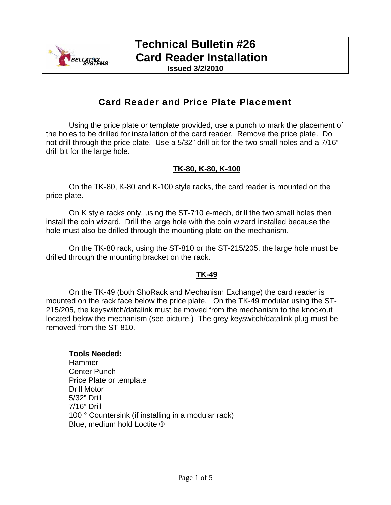

### **Technical Bulletin #26 Card Reader Installation**

**Issued 3/2/2010**

### Card Reader and Price Plate Placement

Using the price plate or template provided, use a punch to mark the placement of the holes to be drilled for installation of the card reader. Remove the price plate. Do not drill through the price plate. Use a 5/32" drill bit for the two small holes and a 7/16" drill bit for the large hole.

#### **TK-80, K-80, K-100**

On the TK-80, K-80 and K-100 style racks, the card reader is mounted on the price plate.

On K style racks only, using the ST-710 e-mech, drill the two small holes then install the coin wizard. Drill the large hole with the coin wizard installed because the hole must also be drilled through the mounting plate on the mechanism.

On the TK-80 rack, using the ST-810 or the ST-215/205, the large hole must be drilled through the mounting bracket on the rack.

#### **TK-49**

On the TK-49 (both ShoRack and Mechanism Exchange) the card reader is mounted on the rack face below the price plate. On the TK-49 modular using the ST-215/205, the keyswitch/datalink must be moved from the mechanism to the knockout located below the mechanism (see picture.) The grey keyswitch/datalink plug must be removed from the ST-810.

#### **Tools Needed:**

Hammer Center Punch Price Plate or template Drill Motor 5/32" Drill 7/16" Drill 100 ° Countersink (if installing in a modular rack) Blue, medium hold Loctite ®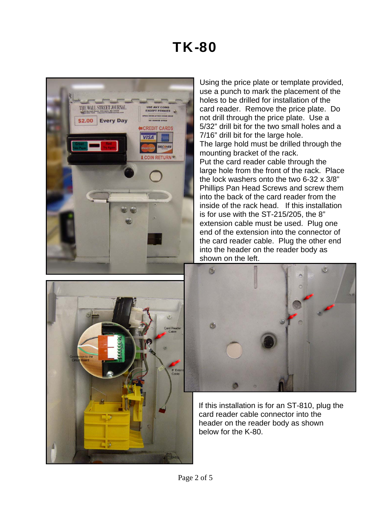### TK-80



Using the price plate or template provided, use a punch to mark the placement of the holes to be drilled for installation of the card reader. Remove the price plate. Do not drill through the price plate. Use a 5/32" drill bit for the two small holes and a 7/16" drill bit for the large hole. The large hold must be drilled through the mounting bracket of the rack. Put the card reader cable through the large hole from the front of the rack. Place the lock washers onto the two 6-32 x 3/8" Phillips Pan Head Screws and screw them into the back of the card reader from the inside of the rack head. If this installation is for use with the ST-215/205, the 8" extension cable must be used. Plug one end of the extension into the connector of the card reader cable. Plug the other end into the header on the reader body as shown on the left.





If this installation is for an ST-810, plug the card reader cable connector into the header on the reader body as shown below for the K-80.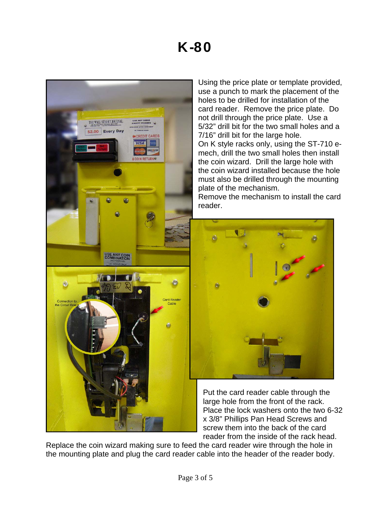

Using the price plate or template provided, use a punch to mark the placement of the holes to be drilled for installation of the card reader. Remove the price plate. Do not drill through the price plate. Use a 5/32" drill bit for the two small holes and a 7/16" drill bit for the large hole. On K style racks only, using the ST-710 emech, drill the two small holes then install the coin wizard. Drill the large hole with the coin wizard installed because the hole must also be drilled through the mounting plate of the mechanism. Remove the mechanism to install the card



Put the card reader cable through the large hole from the front of the rack. Place the lock washers onto the two 6-32 x 3/8" Phillips Pan Head Screws and screw them into the back of the card reader from the inside of the rack head.

Replace the coin wizard making sure to feed the card reader wire through the hole in the mounting plate and plug the card reader cable into the header of the reader body.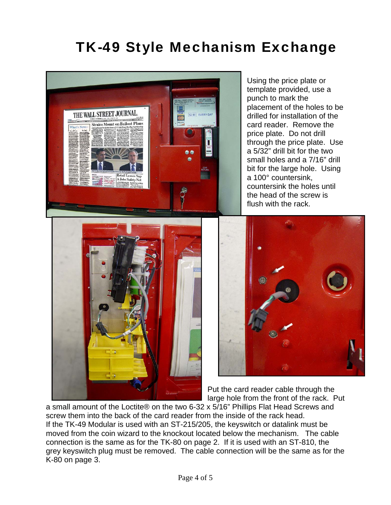## TK-49 Style Mechanism Exchange



Using the price plate or template provided, use a punch to mark the placement of the holes to be drilled for installation of the card reader. Remove the price plate. Do not drill through the price plate. Use a 5/32" drill bit for the two small holes and a 7/16" drill bit for the large hole. Using a 100° countersink, countersink the holes until the head of the screw is flush with the rack.



Put the card reader cable through the large hole from the front of the rack. Put

a small amount of the Loctite® on the two 6-32 x 5/16" Phillips Flat Head Screws and screw them into the back of the card reader from the inside of the rack head. If the TK-49 Modular is used with an ST-215/205, the keyswitch or datalink must be moved from the coin wizard to the knockout located below the mechanism. The cable connection is the same as for the TK-80 on page 2. If it is used with an ST-810, the grey keyswitch plug must be removed. The cable connection will be the same as for the K-80 on page 3.